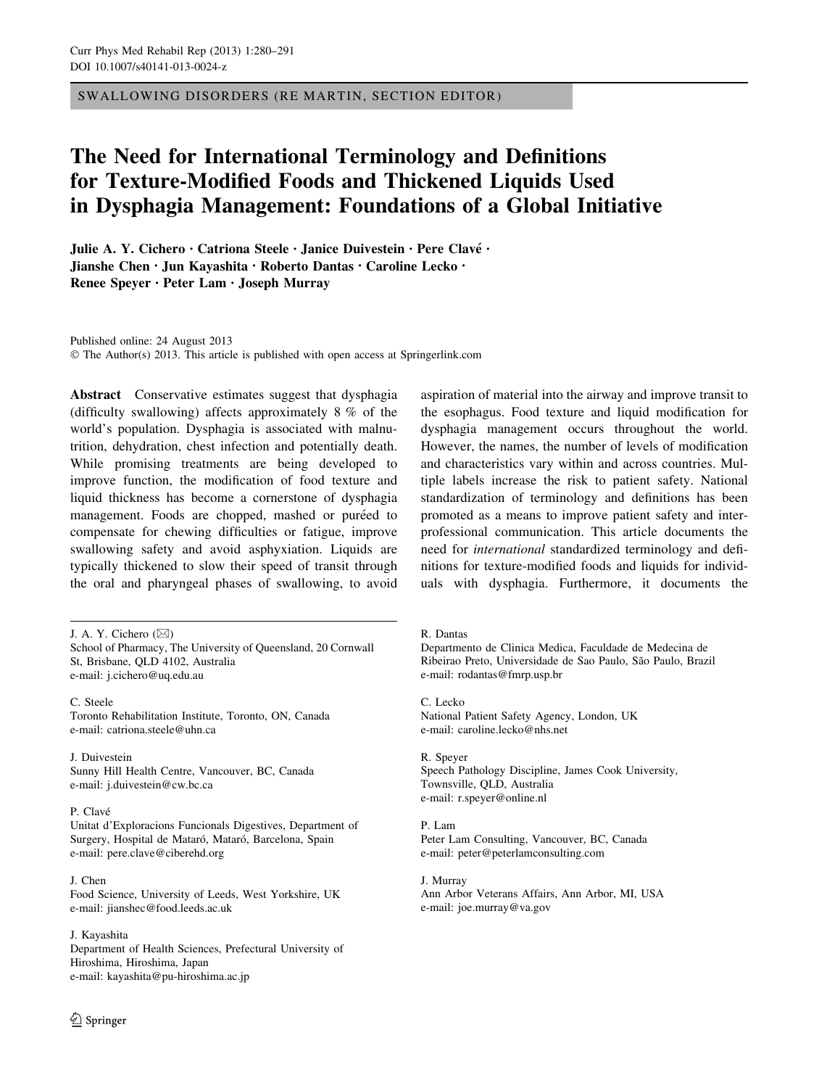SWALLOWING DISORDERS (RE MARTIN, SECTION EDITOR)

# The Need for International Terminology and Definitions for Texture-Modified Foods and Thickened Liquids Used in Dysphagia Management: Foundations of a Global Initiative

Julie A. Y. Cichero · Catriona Steele · Janice Duivestein · Pere Clavé · Jianshe Chen • Jun Kayashita • Roberto Dantas • Caroline Lecko • Renee Speyer • Peter Lam • Joseph Murray

Published online: 24 August 2013 © The Author(s) 2013. This article is published with open access at Springerlink.com

Abstract Conservative estimates suggest that dysphagia (difficulty swallowing) affects approximately 8 % of the world's population. Dysphagia is associated with malnutrition, dehydration, chest infection and potentially death. While promising treatments are being developed to improve function, the modification of food texture and liquid thickness has become a cornerstone of dysphagia management. Foods are chopped, mashed or puréed to compensate for chewing difficulties or fatigue, improve swallowing safety and avoid asphyxiation. Liquids are typically thickened to slow their speed of transit through the oral and pharyngeal phases of swallowing, to avoid

J. A. Y. Cichero  $(\boxtimes)$ 

School of Pharmacy, The University of Queensland, 20 Cornwall St, Brisbane, QLD 4102, Australia e-mail: j.cichero@uq.edu.au

C. Steele Toronto Rehabilitation Institute, Toronto, ON, Canada e-mail: catriona.steele@uhn.ca

J. Duivestein Sunny Hill Health Centre, Vancouver, BC, Canada e-mail: j.duivestein@cw.bc.ca

#### P. Clavé

Unitat d'Exploracions Funcionals Digestives, Department of Surgery, Hospital de Mataró, Mataró, Barcelona, Spain e-mail: pere.clave@ciberehd.org

J. Chen Food Science, University of Leeds, West Yorkshire, UK e-mail: jianshec@food.leeds.ac.uk

#### J. Kayashita

Department of Health Sciences, Prefectural University of Hiroshima, Hiroshima, Japan e-mail: kayashita@pu-hiroshima.ac.jp

aspiration of material into the airway and improve transit to the esophagus. Food texture and liquid modification for dysphagia management occurs throughout the world. However, the names, the number of levels of modification and characteristics vary within and across countries. Multiple labels increase the risk to patient safety. National standardization of terminology and definitions has been promoted as a means to improve patient safety and interprofessional communication. This article documents the need for international standardized terminology and definitions for texture-modified foods and liquids for individuals with dysphagia. Furthermore, it documents the

R. Dantas

Departmento de Clinica Medica, Faculdade de Medecina de Ribeirao Preto, Universidade de Sao Paulo, São Paulo, Brazil e-mail: rodantas@fmrp.usp.br

C. Lecko National Patient Safety Agency, London, UK e-mail: caroline.lecko@nhs.net

R. Speyer Speech Pathology Discipline, James Cook University, Townsville, QLD, Australia e-mail: r.speyer@online.nl

P. Lam Peter Lam Consulting, Vancouver, BC, Canada e-mail: peter@peterlamconsulting.com

J. Murray Ann Arbor Veterans Affairs, Ann Arbor, MI, USA e-mail: joe.murray@va.gov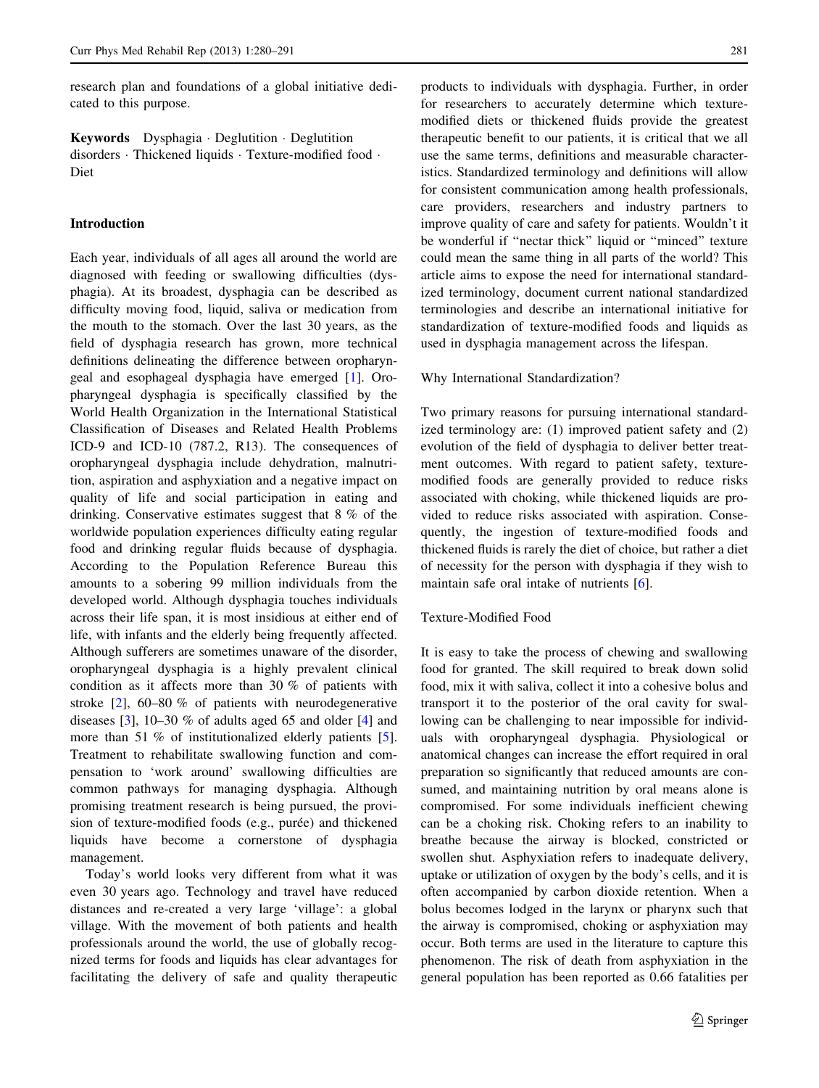research plan and foundations of a global initiative dedicated to this purpose.

Keywords Dysphagia · Deglutition · Deglutition disorders - Thickened liquids - Texture-modified food - Diet

#### Introduction

Each year, individuals of all ages all around the world are diagnosed with feeding or swallowing difficulties (dysphagia). At its broadest, dysphagia can be described as difficulty moving food, liquid, saliva or medication from the mouth to the stomach. Over the last 30 years, as the field of dysphagia research has grown, more technical definitions delineating the difference between oropharyngeal and esophageal dysphagia have emerged [\[1](#page-9-0)]. Oropharyngeal dysphagia is specifically classified by the World Health Organization in the International Statistical Classification of Diseases and Related Health Problems ICD-9 and ICD-10 (787.2, R13). The consequences of oropharyngeal dysphagia include dehydration, malnutrition, aspiration and asphyxiation and a negative impact on quality of life and social participation in eating and drinking. Conservative estimates suggest that 8 % of the worldwide population experiences difficulty eating regular food and drinking regular fluids because of dysphagia. According to the Population Reference Bureau this amounts to a sobering 99 million individuals from the developed world. Although dysphagia touches individuals across their life span, it is most insidious at either end of life, with infants and the elderly being frequently affected. Although sufferers are sometimes unaware of the disorder, oropharyngeal dysphagia is a highly prevalent clinical condition as it affects more than 30 % of patients with stroke [\[2](#page-9-0)], 60–80 % of patients with neurodegenerative diseases [\[3](#page-9-0)], 10–30 % of adults aged 65 and older [\[4](#page-9-0)] and more than 51 % of institutionalized elderly patients [\[5](#page-9-0)]. Treatment to rehabilitate swallowing function and compensation to 'work around' swallowing difficulties are common pathways for managing dysphagia. Although promising treatment research is being pursued, the provision of texture-modified foods (e.g., purée) and thickened liquids have become a cornerstone of dysphagia management.

Today's world looks very different from what it was even 30 years ago. Technology and travel have reduced distances and re-created a very large 'village': a global village. With the movement of both patients and health professionals around the world, the use of globally recognized terms for foods and liquids has clear advantages for facilitating the delivery of safe and quality therapeutic products to individuals with dysphagia. Further, in order for researchers to accurately determine which texturemodified diets or thickened fluids provide the greatest therapeutic benefit to our patients, it is critical that we all use the same terms, definitions and measurable characteristics. Standardized terminology and definitions will allow for consistent communication among health professionals, care providers, researchers and industry partners to improve quality of care and safety for patients. Wouldn't it be wonderful if ''nectar thick'' liquid or ''minced'' texture could mean the same thing in all parts of the world? This article aims to expose the need for international standardized terminology, document current national standardized terminologies and describe an international initiative for standardization of texture-modified foods and liquids as used in dysphagia management across the lifespan.

#### Why International Standardization?

Two primary reasons for pursuing international standardized terminology are: (1) improved patient safety and (2) evolution of the field of dysphagia to deliver better treatment outcomes. With regard to patient safety, texturemodified foods are generally provided to reduce risks associated with choking, while thickened liquids are provided to reduce risks associated with aspiration. Consequently, the ingestion of texture-modified foods and thickened fluids is rarely the diet of choice, but rather a diet of necessity for the person with dysphagia if they wish to maintain safe oral intake of nutrients [\[6](#page-9-0)].

#### Texture-Modified Food

It is easy to take the process of chewing and swallowing food for granted. The skill required to break down solid food, mix it with saliva, collect it into a cohesive bolus and transport it to the posterior of the oral cavity for swallowing can be challenging to near impossible for individuals with oropharyngeal dysphagia. Physiological or anatomical changes can increase the effort required in oral preparation so significantly that reduced amounts are consumed, and maintaining nutrition by oral means alone is compromised. For some individuals inefficient chewing can be a choking risk. Choking refers to an inability to breathe because the airway is blocked, constricted or swollen shut. Asphyxiation refers to inadequate delivery, uptake or utilization of oxygen by the body's cells, and it is often accompanied by carbon dioxide retention. When a bolus becomes lodged in the larynx or pharynx such that the airway is compromised, choking or asphyxiation may occur. Both terms are used in the literature to capture this phenomenon. The risk of death from asphyxiation in the general population has been reported as 0.66 fatalities per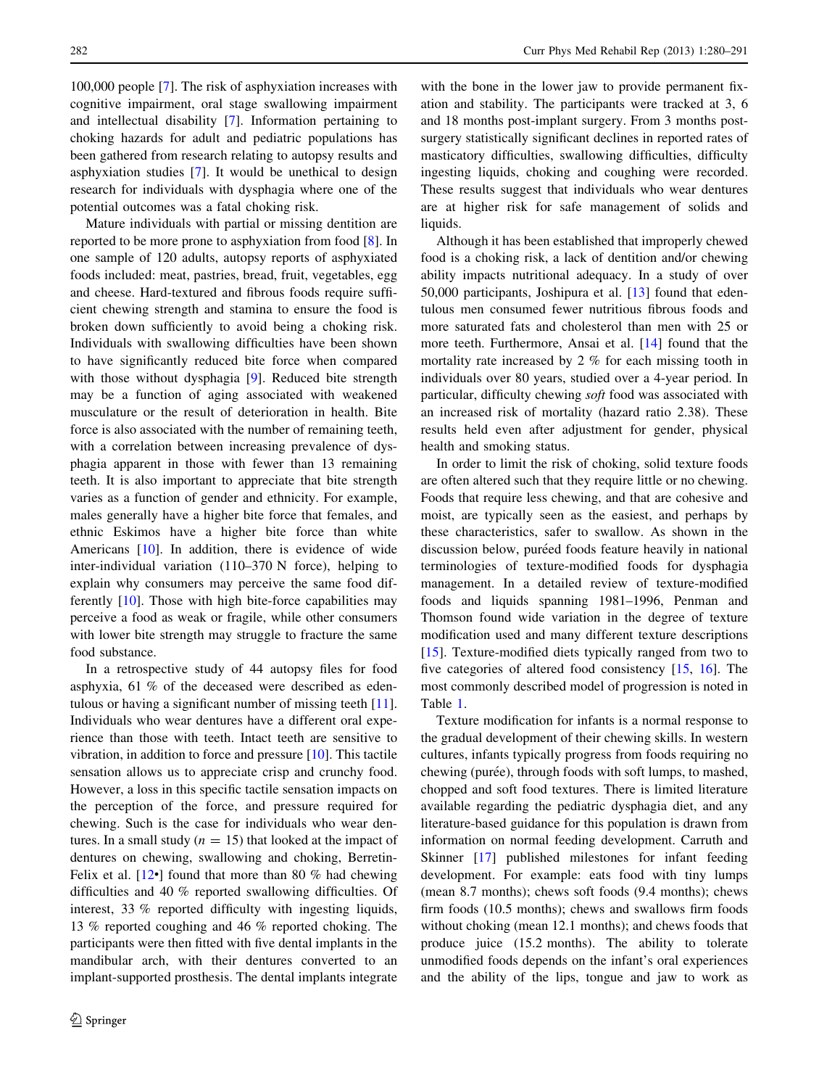100,000 people [[7\]](#page-9-0). The risk of asphyxiation increases with cognitive impairment, oral stage swallowing impairment and intellectual disability [\[7](#page-9-0)]. Information pertaining to choking hazards for adult and pediatric populations has been gathered from research relating to autopsy results and asphyxiation studies [[7\]](#page-9-0). It would be unethical to design research for individuals with dysphagia where one of the potential outcomes was a fatal choking risk.

Mature individuals with partial or missing dentition are reported to be more prone to asphyxiation from food [[8\]](#page-9-0). In one sample of 120 adults, autopsy reports of asphyxiated foods included: meat, pastries, bread, fruit, vegetables, egg and cheese. Hard-textured and fibrous foods require sufficient chewing strength and stamina to ensure the food is broken down sufficiently to avoid being a choking risk. Individuals with swallowing difficulties have been shown to have significantly reduced bite force when compared with those without dysphagia [\[9](#page-9-0)]. Reduced bite strength may be a function of aging associated with weakened musculature or the result of deterioration in health. Bite force is also associated with the number of remaining teeth, with a correlation between increasing prevalence of dysphagia apparent in those with fewer than 13 remaining teeth. It is also important to appreciate that bite strength varies as a function of gender and ethnicity. For example, males generally have a higher bite force that females, and ethnic Eskimos have a higher bite force than white Americans [[10\]](#page-9-0). In addition, there is evidence of wide inter-individual variation (110–370 N force), helping to explain why consumers may perceive the same food differently [\[10](#page-9-0)]. Those with high bite-force capabilities may perceive a food as weak or fragile, while other consumers with lower bite strength may struggle to fracture the same food substance.

In a retrospective study of 44 autopsy files for food asphyxia, 61 % of the deceased were described as edentulous or having a significant number of missing teeth [\[11](#page-9-0)]. Individuals who wear dentures have a different oral experience than those with teeth. Intact teeth are sensitive to vibration, in addition to force and pressure  $[10]$  $[10]$ . This tactile sensation allows us to appreciate crisp and crunchy food. However, a loss in this specific tactile sensation impacts on the perception of the force, and pressure required for chewing. Such is the case for individuals who wear dentures. In a small study ( $n = 15$ ) that looked at the impact of dentures on chewing, swallowing and choking, Berretin-Felix et al.  $[12\bullet]$  $[12\bullet]$  found that more than 80 % had chewing difficulties and 40 % reported swallowing difficulties. Of interest, 33 % reported difficulty with ingesting liquids, 13 % reported coughing and 46 % reported choking. The participants were then fitted with five dental implants in the mandibular arch, with their dentures converted to an implant-supported prosthesis. The dental implants integrate

with the bone in the lower jaw to provide permanent fixation and stability. The participants were tracked at 3, 6 and 18 months post-implant surgery. From 3 months postsurgery statistically significant declines in reported rates of masticatory difficulties, swallowing difficulties, difficulty ingesting liquids, choking and coughing were recorded. These results suggest that individuals who wear dentures are at higher risk for safe management of solids and liquids.

Although it has been established that improperly chewed food is a choking risk, a lack of dentition and/or chewing ability impacts nutritional adequacy. In a study of over 50,000 participants, Joshipura et al. [\[13\]](#page-10-0) found that edentulous men consumed fewer nutritious fibrous foods and more saturated fats and cholesterol than men with 25 or more teeth. Furthermore, Ansai et al. [[14](#page-10-0)] found that the mortality rate increased by 2 % for each missing tooth in individuals over 80 years, studied over a 4-year period. In particular, difficulty chewing soft food was associated with an increased risk of mortality (hazard ratio 2.38). These results held even after adjustment for gender, physical health and smoking status.

In order to limit the risk of choking, solid texture foods are often altered such that they require little or no chewing. Foods that require less chewing, and that are cohesive and moist, are typically seen as the easiest, and perhaps by these characteristics, safer to swallow. As shown in the discussion below, puréed foods feature heavily in national terminologies of texture-modified foods for dysphagia management. In a detailed review of texture-modified foods and liquids spanning 1981–1996, Penman and Thomson found wide variation in the degree of texture modification used and many different texture descriptions [\[15](#page-10-0)]. Texture-modified diets typically ranged from two to five categories of altered food consistency [[15,](#page-10-0) [16\]](#page-10-0). The most commonly described model of progression is noted in Table [1](#page-3-0).

Texture modification for infants is a normal response to the gradual development of their chewing skills. In western cultures, infants typically progress from foods requiring no chewing (purée), through foods with soft lumps, to mashed, chopped and soft food textures. There is limited literature available regarding the pediatric dysphagia diet, and any literature-based guidance for this population is drawn from information on normal feeding development. Carruth and Skinner [[17\]](#page-10-0) published milestones for infant feeding development. For example: eats food with tiny lumps (mean 8.7 months); chews soft foods (9.4 months); chews firm foods (10.5 months); chews and swallows firm foods without choking (mean 12.1 months); and chews foods that produce juice (15.2 months). The ability to tolerate unmodified foods depends on the infant's oral experiences and the ability of the lips, tongue and jaw to work as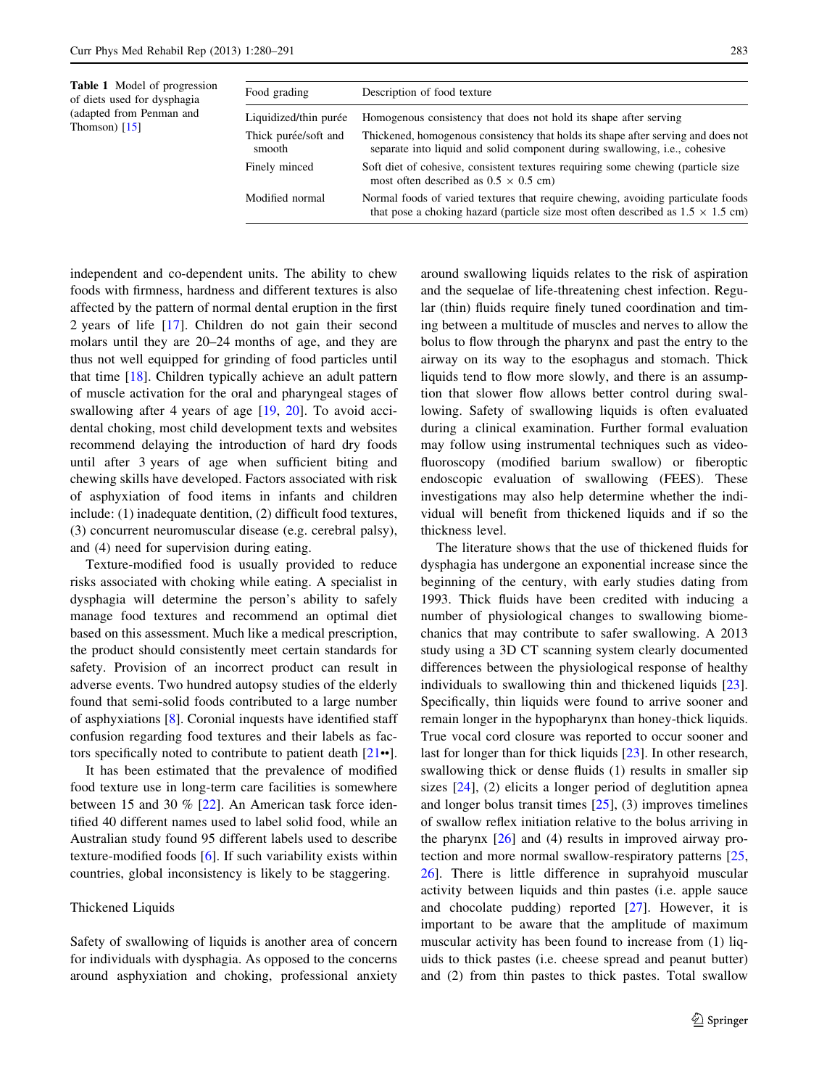<span id="page-3-0"></span>

| Table 1 Model of progression<br>of diets used for dysphagia<br>(adapted from Penman and<br>Thomson) $[15]$ | Food grading                                                             | Description of food texture                                                                                                                                                                                                                                                                                                      |  |  |
|------------------------------------------------------------------------------------------------------------|--------------------------------------------------------------------------|----------------------------------------------------------------------------------------------------------------------------------------------------------------------------------------------------------------------------------------------------------------------------------------------------------------------------------|--|--|
|                                                                                                            | Liquidized/thin purée<br>Thick purée/soft and<br>smooth<br>Finely minced | Homogenous consistency that does not hold its shape after serving<br>Thickened, homogenous consistency that holds its shape after serving and does not<br>separate into liquid and solid component during swallowing, <i>i.e.</i> , cohesive<br>Soft diet of cohesive, consistent textures requiring some chewing (particle size |  |  |
|                                                                                                            | Modified normal                                                          | most often described as $0.5 \times 0.5$ cm)<br>Normal foods of varied textures that require chewing, avoiding particulate foods                                                                                                                                                                                                 |  |  |
|                                                                                                            |                                                                          |                                                                                                                                                                                                                                                                                                                                  |  |  |

independent and co-dependent units. The ability to chew foods with firmness, hardness and different textures is also affected by the pattern of normal dental eruption in the first 2 years of life [\[17](#page-10-0)]. Children do not gain their second molars until they are 20–24 months of age, and they are thus not well equipped for grinding of food particles until that time [\[18](#page-10-0)]. Children typically achieve an adult pattern of muscle activation for the oral and pharyngeal stages of swallowing after 4 years of age [\[19](#page-10-0), [20\]](#page-10-0). To avoid accidental choking, most child development texts and websites recommend delaying the introduction of hard dry foods until after 3 years of age when sufficient biting and chewing skills have developed. Factors associated with risk of asphyxiation of food items in infants and children include: (1) inadequate dentition, (2) difficult food textures, (3) concurrent neuromuscular disease (e.g. cerebral palsy), and (4) need for supervision during eating.

Texture-modified food is usually provided to reduce risks associated with choking while eating. A specialist in dysphagia will determine the person's ability to safely manage food textures and recommend an optimal diet based on this assessment. Much like a medical prescription, the product should consistently meet certain standards for safety. Provision of an incorrect product can result in adverse events. Two hundred autopsy studies of the elderly found that semi-solid foods contributed to a large number of asphyxiations [[8\]](#page-9-0). Coronial inquests have identified staff confusion regarding food textures and their labels as factors specifically noted to contribute to patient death [[21](#page-10-0)••].

It has been estimated that the prevalence of modified food texture use in long-term care facilities is somewhere between 15 and 30 % [\[22](#page-10-0)]. An American task force identified 40 different names used to label solid food, while an Australian study found 95 different labels used to describe texture-modified foods [\[6](#page-9-0)]. If such variability exists within countries, global inconsistency is likely to be staggering.

#### Thickened Liquids

Safety of swallowing of liquids is another area of concern for individuals with dysphagia. As opposed to the concerns around asphyxiation and choking, professional anxiety around swallowing liquids relates to the risk of aspiration and the sequelae of life-threatening chest infection. Regular (thin) fluids require finely tuned coordination and timing between a multitude of muscles and nerves to allow the bolus to flow through the pharynx and past the entry to the airway on its way to the esophagus and stomach. Thick liquids tend to flow more slowly, and there is an assumption that slower flow allows better control during swallowing. Safety of swallowing liquids is often evaluated during a clinical examination. Further formal evaluation may follow using instrumental techniques such as videofluoroscopy (modified barium swallow) or fiberoptic endoscopic evaluation of swallowing (FEES). These investigations may also help determine whether the individual will benefit from thickened liquids and if so the thickness level.

that pose a choking hazard (particle size most often described as  $1.5 \times 1.5$  cm)

The literature shows that the use of thickened fluids for dysphagia has undergone an exponential increase since the beginning of the century, with early studies dating from 1993. Thick fluids have been credited with inducing a number of physiological changes to swallowing biomechanics that may contribute to safer swallowing. A 2013 study using a 3D CT scanning system clearly documented differences between the physiological response of healthy individuals to swallowing thin and thickened liquids [\[23](#page-10-0)]. Specifically, thin liquids were found to arrive sooner and remain longer in the hypopharynx than honey-thick liquids. True vocal cord closure was reported to occur sooner and last for longer than for thick liquids [[23\]](#page-10-0). In other research, swallowing thick or dense fluids (1) results in smaller sip sizes [[24\]](#page-10-0), (2) elicits a longer period of deglutition apnea and longer bolus transit times  $[25]$  $[25]$ , (3) improves timelines of swallow reflex initiation relative to the bolus arriving in the pharynx  $[26]$  $[26]$  and (4) results in improved airway protection and more normal swallow-respiratory patterns [[25,](#page-10-0) [26](#page-10-0)]. There is little difference in suprahyoid muscular activity between liquids and thin pastes (i.e. apple sauce and chocolate pudding) reported [[27\]](#page-10-0). However, it is important to be aware that the amplitude of maximum muscular activity has been found to increase from (1) liquids to thick pastes (i.e. cheese spread and peanut butter) and (2) from thin pastes to thick pastes. Total swallow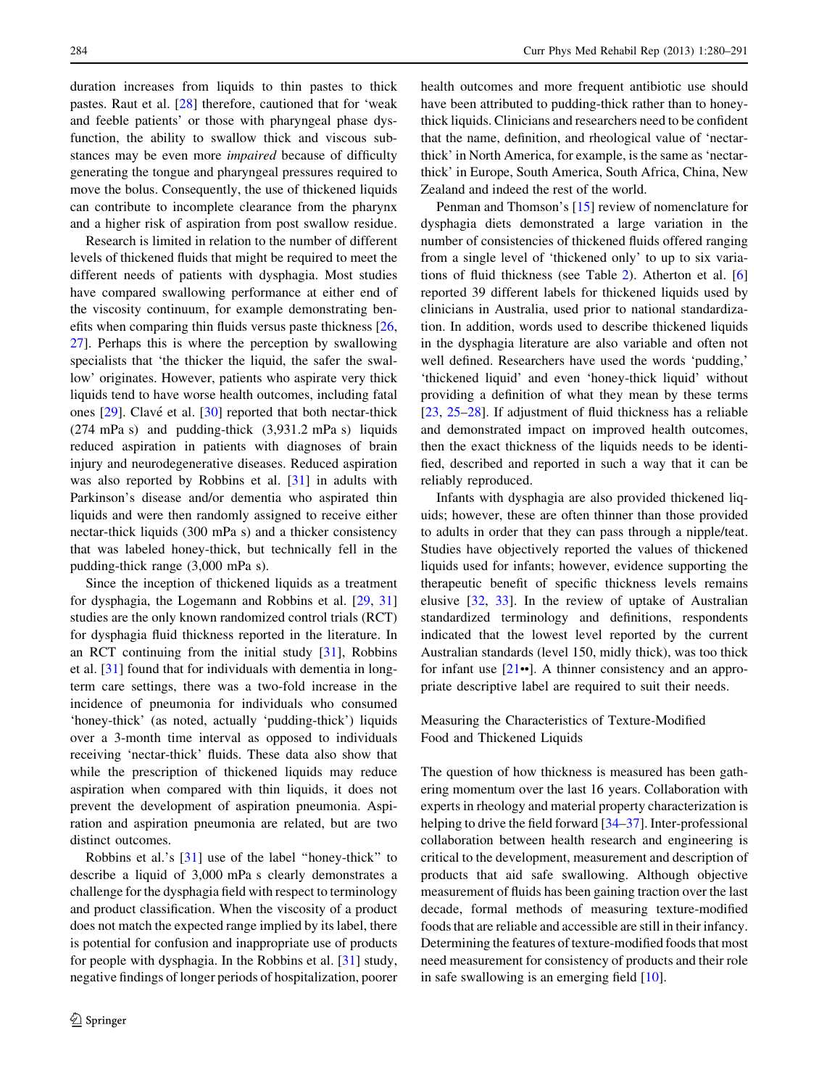duration increases from liquids to thin pastes to thick pastes. Raut et al. [\[28](#page-10-0)] therefore, cautioned that for 'weak and feeble patients' or those with pharyngeal phase dysfunction, the ability to swallow thick and viscous substances may be even more impaired because of difficulty generating the tongue and pharyngeal pressures required to move the bolus. Consequently, the use of thickened liquids can contribute to incomplete clearance from the pharynx and a higher risk of aspiration from post swallow residue.

Research is limited in relation to the number of different levels of thickened fluids that might be required to meet the different needs of patients with dysphagia. Most studies have compared swallowing performance at either end of the viscosity continuum, for example demonstrating benefits when comparing thin fluids versus paste thickness [[26,](#page-10-0) [27](#page-10-0)]. Perhaps this is where the perception by swallowing specialists that 'the thicker the liquid, the safer the swallow' originates. However, patients who aspirate very thick liquids tend to have worse health outcomes, including fatal ones  $[29]$  $[29]$ . Clavé et al.  $[30]$  $[30]$  reported that both nectar-thick  $(274 \text{ mPa s})$  and pudding-thick  $(3,931.2 \text{ mPa s})$  liquids reduced aspiration in patients with diagnoses of brain injury and neurodegenerative diseases. Reduced aspiration was also reported by Robbins et al. [\[31](#page-10-0)] in adults with Parkinson's disease and/or dementia who aspirated thin liquids and were then randomly assigned to receive either nectar-thick liquids (300 mPa s) and a thicker consistency that was labeled honey-thick, but technically fell in the pudding-thick range (3,000 mPa s).

Since the inception of thickened liquids as a treatment for dysphagia, the Logemann and Robbins et al. [[29,](#page-10-0) [31\]](#page-10-0) studies are the only known randomized control trials (RCT) for dysphagia fluid thickness reported in the literature. In an RCT continuing from the initial study [\[31](#page-10-0)], Robbins et al. [[31\]](#page-10-0) found that for individuals with dementia in longterm care settings, there was a two-fold increase in the incidence of pneumonia for individuals who consumed 'honey-thick' (as noted, actually 'pudding-thick') liquids over a 3-month time interval as opposed to individuals receiving 'nectar-thick' fluids. These data also show that while the prescription of thickened liquids may reduce aspiration when compared with thin liquids, it does not prevent the development of aspiration pneumonia. Aspiration and aspiration pneumonia are related, but are two distinct outcomes.

Robbins et al.'s [\[31\]](#page-10-0) use of the label ''honey-thick'' to describe a liquid of 3,000 mPa s clearly demonstrates a challenge for the dysphagia field with respect to terminology and product classification. When the viscosity of a product does not match the expected range implied by its label, there is potential for confusion and inappropriate use of products for people with dysphagia. In the Robbins et al. [[31\]](#page-10-0) study, negative findings of longer periods of hospitalization, poorer health outcomes and more frequent antibiotic use should have been attributed to pudding-thick rather than to honeythick liquids. Clinicians and researchers need to be confident that the name, definition, and rheological value of 'nectarthick' in North America, for example, is the same as 'nectarthick' in Europe, South America, South Africa, China, New Zealand and indeed the rest of the world.

Penman and Thomson's [[15\]](#page-10-0) review of nomenclature for dysphagia diets demonstrated a large variation in the number of consistencies of thickened fluids offered ranging from a single level of 'thickened only' to up to six variations of fluid thickness (see Table [2\)](#page-5-0). Atherton et al. [[6\]](#page-9-0) reported 39 different labels for thickened liquids used by clinicians in Australia, used prior to national standardization. In addition, words used to describe thickened liquids in the dysphagia literature are also variable and often not well defined. Researchers have used the words 'pudding,' 'thickened liquid' and even 'honey-thick liquid' without providing a definition of what they mean by these terms [\[23](#page-10-0), [25–28](#page-10-0)]. If adjustment of fluid thickness has a reliable and demonstrated impact on improved health outcomes, then the exact thickness of the liquids needs to be identified, described and reported in such a way that it can be reliably reproduced.

Infants with dysphagia are also provided thickened liquids; however, these are often thinner than those provided to adults in order that they can pass through a nipple/teat. Studies have objectively reported the values of thickened liquids used for infants; however, evidence supporting the therapeutic benefit of specific thickness levels remains elusive [[32,](#page-10-0) [33](#page-10-0)]. In the review of uptake of Australian standardized terminology and definitions, respondents indicated that the lowest level reported by the current Australian standards (level 150, midly thick), was too thick for infant use  $[21\bullet]$  $[21\bullet]$ . A thinner consistency and an appropriate descriptive label are required to suit their needs.

## Measuring the Characteristics of Texture-Modified Food and Thickened Liquids

The question of how thickness is measured has been gathering momentum over the last 16 years. Collaboration with experts in rheology and material property characterization is helping to drive the field forward [[34](#page-10-0)–[37\]](#page-10-0). Inter-professional collaboration between health research and engineering is critical to the development, measurement and description of products that aid safe swallowing. Although objective measurement of fluids has been gaining traction over the last decade, formal methods of measuring texture-modified foods that are reliable and accessible are still in their infancy. Determining the features of texture-modified foods that most need measurement for consistency of products and their role in safe swallowing is an emerging field [\[10](#page-9-0)].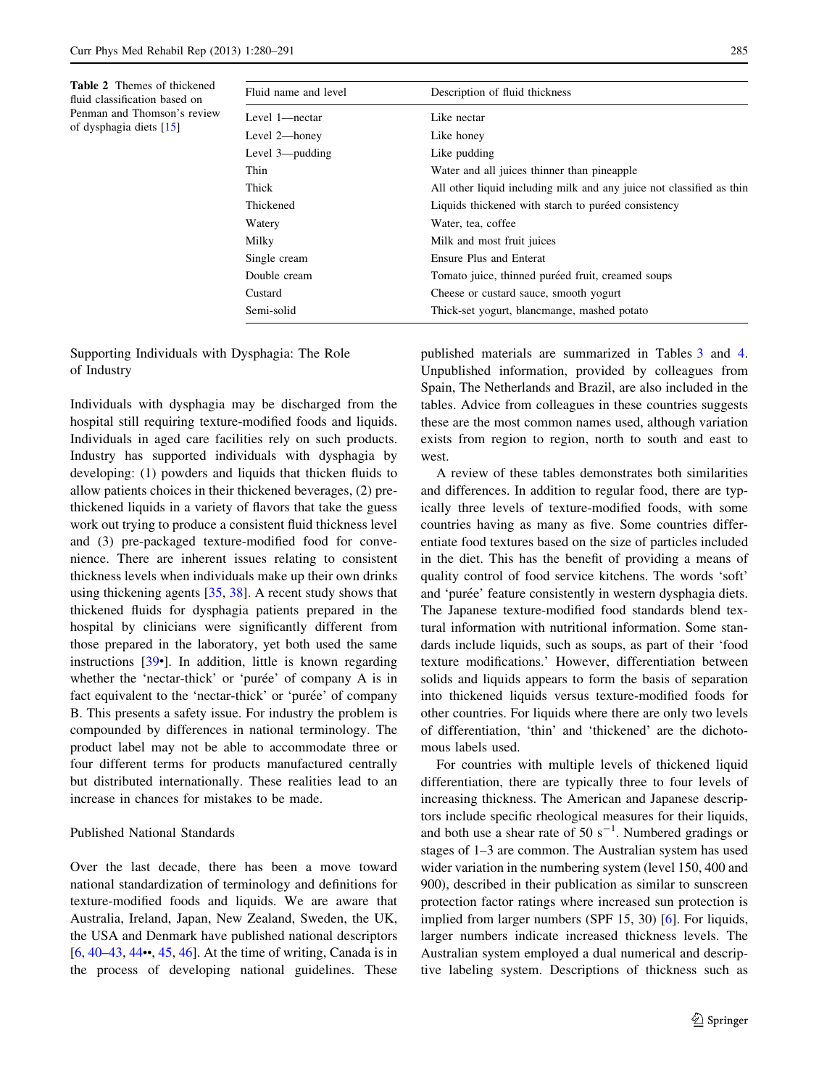Fluid name and level Description of fluid thickness Level 1—nectar Like nectar Level 2—honey Like honey Level 3—pudding Like pudding Thin Water and all juices thinner than pineapple Thick All other liquid including milk and any juice not classified as thin Thickened **Liquids** thickened with starch to puretied consistency Watery Water, tea, coffee Milky Milk and most fruit juices Single cream Ensure Plus and Enterat Double cream Tomato juice, thinned puréed fruit, creamed soups Custard Cheese or custard sauce, smooth yogurt Semi-solid Thick-set yogurt, blancmange, mashed potato

<span id="page-5-0"></span>Table 2 Themes of thickened fluid classification based on Penman and Thomson's review of dysphagia diets [[15](#page-10-0)]

Supporting Individuals with Dysphagia: The Role

of Industry

Individuals with dysphagia may be discharged from the hospital still requiring texture-modified foods and liquids. Individuals in aged care facilities rely on such products. Industry has supported individuals with dysphagia by developing: (1) powders and liquids that thicken fluids to allow patients choices in their thickened beverages, (2) prethickened liquids in a variety of flavors that take the guess work out trying to produce a consistent fluid thickness level and (3) pre-packaged texture-modified food for convenience. There are inherent issues relating to consistent thickness levels when individuals make up their own drinks using thickening agents [[35,](#page-10-0) [38\]](#page-10-0). A recent study shows that thickened fluids for dysphagia patients prepared in the hospital by clinicians were significantly different from those prepared in the laboratory, yet both used the same instructions [[39](#page-10-0)•]. In addition, little is known regarding whether the 'nectar-thick' or 'puree' of company  $A$  is in fact equivalent to the 'nectar-thick' or 'purée' of company B. This presents a safety issue. For industry the problem is compounded by differences in national terminology. The product label may not be able to accommodate three or four different terms for products manufactured centrally but distributed internationally. These realities lead to an increase in chances for mistakes to be made.

## Published National Standards

Over the last decade, there has been a move toward national standardization of terminology and definitions for texture-modified foods and liquids. We are aware that Australia, Ireland, Japan, New Zealand, Sweden, the UK, the USA and Denmark have published national descriptors [\[6](#page-9-0), [40–43](#page-10-0), [44](#page-10-0)••, [45](#page-11-0), [46](#page-11-0)]. At the time of writing, Canada is in the process of developing national guidelines. These

published materials are summarized in Tables [3](#page-6-0) and [4.](#page-6-0) Unpublished information, provided by colleagues from Spain, The Netherlands and Brazil, are also included in the tables. Advice from colleagues in these countries suggests these are the most common names used, although variation exists from region to region, north to south and east to west.

A review of these tables demonstrates both similarities and differences. In addition to regular food, there are typically three levels of texture-modified foods, with some countries having as many as five. Some countries differentiate food textures based on the size of particles included in the diet. This has the benefit of providing a means of quality control of food service kitchens. The words 'soft' and 'purée' feature consistently in western dysphagia diets. The Japanese texture-modified food standards blend textural information with nutritional information. Some standards include liquids, such as soups, as part of their 'food texture modifications.' However, differentiation between solids and liquids appears to form the basis of separation into thickened liquids versus texture-modified foods for other countries. For liquids where there are only two levels of differentiation, 'thin' and 'thickened' are the dichotomous labels used.

For countries with multiple levels of thickened liquid differentiation, there are typically three to four levels of increasing thickness. The American and Japanese descriptors include specific rheological measures for their liquids, and both use a shear rate of 50  $s^{-1}$ . Numbered gradings or stages of 1–3 are common. The Australian system has used wider variation in the numbering system (level 150, 400 and 900), described in their publication as similar to sunscreen protection factor ratings where increased sun protection is implied from larger numbers (SPF 15, 30) [[6\]](#page-9-0). For liquids, larger numbers indicate increased thickness levels. The Australian system employed a dual numerical and descriptive labeling system. Descriptions of thickness such as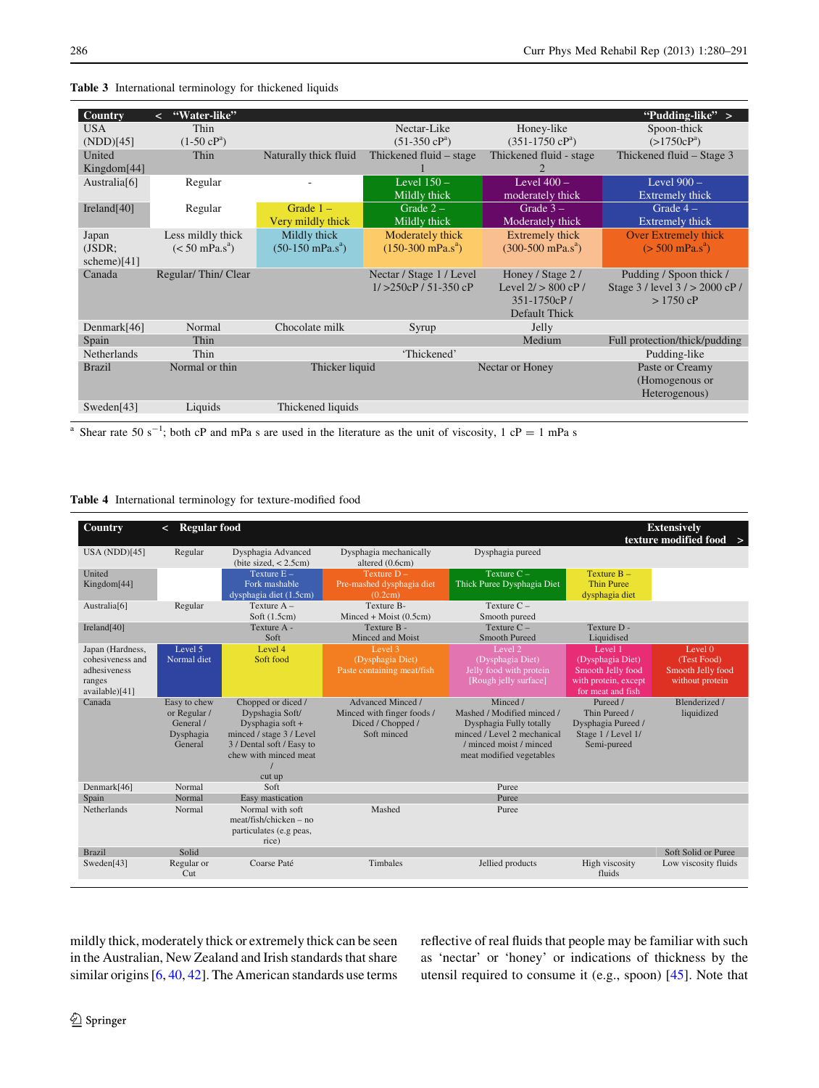| <b>Country</b>     | "Water-like"<br>$\overline{a}$   |                            |                                      |                                      | "Pudding-like" $>$                 |
|--------------------|----------------------------------|----------------------------|--------------------------------------|--------------------------------------|------------------------------------|
| <b>USA</b>         | Thin                             |                            | Nectar-Like                          | Honey-like                           | Spoon-thick                        |
| (NDD)[45]          | $(1-50 \text{ cP}^{\text{a}})$   |                            | $(51-350 \text{ cP}^{\text{a}})$     | $(351-1750 \text{ }cP^a)$            | $(>1750cP^a)$                      |
| United             | Thin                             | Naturally thick fluid      | Thickened fluid – stage              | Thickened fluid - stage              | Thickened fluid – Stage 3          |
| Kingdom[44]        |                                  |                            |                                      | 2                                    |                                    |
| Australia $[6]$    | Regular                          |                            | Level $150 -$                        | Level $400 -$                        | Level $900 -$                      |
|                    |                                  |                            | Mildly thick                         | moderately thick                     | Extremely thick                    |
| Ireland $[40]$     | Regular                          | Grade $1 -$                | Grade $2-$                           | Grade $3-$                           | Grade $4-$                         |
|                    |                                  | Very mildly thick          | Mildly thick                         | Moderately thick                     | Extremely thick                    |
| Japan              | Less mildly thick                | Mildly thick               | Moderately thick                     | Extremely thick                      | Over Extremely thick               |
| (JSDR)             | $(< 50$ mPa.s <sup>a</sup> )     | $(50-150 \text{ mPa.s}^a)$ | $(150-300 \text{ mPa.s}^{\text{a}})$ | $(300-500 \text{ mPa.s}^{\text{a}})$ | $(> 500 \text{ mPa.s}^{\text{a}})$ |
| scheme $[41]$      |                                  |                            |                                      |                                      |                                    |
| Canada             | Regular/Thin/Clear               |                            | Nectar / Stage 1 / Level             | Honey / Stage 2 /                    | Pudding / Spoon thick /            |
|                    |                                  |                            | $1/ > 250cP / 51-350cP$              | Level $2/ > 800$ cP /                | Stage 3 / level 3 / > 2000 cP /    |
|                    |                                  |                            |                                      | 351-1750cP/                          | $> 1750$ cP                        |
|                    |                                  |                            |                                      | Default Thick                        |                                    |
| Denmark $[46]$     | Normal                           | Chocolate milk             | Syrup                                | Jelly                                |                                    |
| Spain              | Thin                             |                            |                                      | Medium                               | Full protection/thick/pudding      |
| <b>Netherlands</b> | Thin                             |                            | 'Thickened'                          |                                      | Pudding-like                       |
| <b>Brazil</b>      | Normal or thin<br>Thicker liquid |                            | Nectar or Honey                      |                                      | Paste or Creamy                    |
|                    |                                  |                            |                                      |                                      | (Homogenous or                     |
|                    |                                  |                            |                                      |                                      | Heterogenous)                      |
| Sweden $[43]$      | Liquids                          | Thickened liquids          |                                      |                                      |                                    |
|                    |                                  |                            |                                      |                                      |                                    |

<span id="page-6-0"></span>Table 3 International terminology for thickened liquids

<sup>a</sup> Shear rate 50 s<sup>-1</sup>; both cP and mPa s are used in the literature as the unit of viscosity, 1 cP = 1 mPa s

#### Table 4 International terminology for texture-modified food

| <b>Country</b>                                                                   | <b>Regular food</b><br>$\prec$                                    |                                                                                                                                                       |                                                                                     |                                                                                                                                                         |                                                                                               | <b>Extensively</b><br>texture modified food >                  |
|----------------------------------------------------------------------------------|-------------------------------------------------------------------|-------------------------------------------------------------------------------------------------------------------------------------------------------|-------------------------------------------------------------------------------------|---------------------------------------------------------------------------------------------------------------------------------------------------------|-----------------------------------------------------------------------------------------------|----------------------------------------------------------------|
| USA (NDD) $[45]$                                                                 | Regular                                                           | Dysphagia Advanced<br>(bite sized, $< 2.5$ cm)                                                                                                        | Dysphagia mechanically<br>altered (0.6cm)                                           | Dysphagia pureed                                                                                                                                        |                                                                                               |                                                                |
| United<br>Kingdom[44]                                                            |                                                                   | Texture $E -$<br>Fork mashable<br>dysphagia diet (1.5cm)                                                                                              | Texture $D -$<br>Pre-mashed dysphagia diet<br>(0.2cm)                               | Texture $C -$<br>Thick Puree Dysphagia Diet                                                                                                             | Texture $B -$<br><b>Thin Puree</b><br>dysphagia diet                                          |                                                                |
| Australia[6]                                                                     | Regular                                                           | Texture $A -$<br>Soft $(1.5cm)$                                                                                                                       | Texture B-<br>Minced + Moist $(0.5cm)$                                              | Texture $C -$<br>Smooth pureed                                                                                                                          |                                                                                               |                                                                |
| Ireland $[40]$                                                                   |                                                                   | Texture A -<br>Soft                                                                                                                                   | Texture B -<br>Minced and Moist                                                     | Texture $C -$<br>Smooth Pureed                                                                                                                          | Texture D -<br>Liquidised                                                                     |                                                                |
| Japan (Hardness,<br>cohesiveness and<br>adhesiveness<br>ranges<br>available)[41] | Level 5<br>Normal diet                                            | Level 4<br>Soft food                                                                                                                                  | Level 3<br>(Dysphagia Diet)<br>Paste containing meat/fish                           | Level <sub>2</sub><br>(Dysphagia Diet)<br>Jelly food with protein<br>[Rough jelly surface]                                                              | Level 1<br>(Dysphagia Diet)<br>Smooth Jelly food<br>with protein, except<br>for meat and fish | Level 0<br>(Test Food)<br>Smooth Jelly food<br>without protein |
| Canada                                                                           | Easy to chew<br>or Regular /<br>General /<br>Dysphagia<br>General | Chopped or diced /<br>Dypshagia Soft/<br>Dysphagia soft +<br>minced / stage 3 / Level<br>3 / Dental soft / Easy to<br>chew with minced meat<br>cut up | Advanced Minced /<br>Minced with finger foods /<br>Diced / Chopped /<br>Soft minced | Minced /<br>Mashed / Modified minced /<br>Dysphagia Fully totally<br>minced / Level 2 mechanical<br>/ minced moist / minced<br>meat modified vegetables | Pureed /<br>Thin Pureed /<br>Dysphagia Pureed /<br>Stage 1 / Level 1/<br>Semi-pureed          | Blenderized /<br>liquidized                                    |
| Denmark[46]                                                                      | Normal                                                            | Soft                                                                                                                                                  |                                                                                     | Puree                                                                                                                                                   |                                                                                               |                                                                |
| Spain                                                                            | Normal                                                            | Easy mastication                                                                                                                                      |                                                                                     | Puree                                                                                                                                                   |                                                                                               |                                                                |
| <b>Netherlands</b>                                                               | Normal                                                            | Normal with soft<br>$meat/fish/chicken - no$<br>particulates (e.g peas,<br>rice)                                                                      | Mashed                                                                              | Puree                                                                                                                                                   |                                                                                               |                                                                |
| <b>Brazil</b>                                                                    | Solid                                                             |                                                                                                                                                       |                                                                                     |                                                                                                                                                         |                                                                                               | Soft Solid or Puree                                            |
| Sweden[43]                                                                       | Regular or<br>Cut                                                 | Coarse Paté                                                                                                                                           | Timbales                                                                            | Jellied products                                                                                                                                        | High viscosity<br>fluids                                                                      | Low viscosity fluids                                           |

mildly thick, moderately thick or extremely thick can be seen in the Australian, New Zealand and Irish standards that share similar origins [\[6](#page-9-0), [40](#page-10-0), [42\]](#page-10-0). The American standards use terms reflective of real fluids that people may be familiar with such as 'nectar' or 'honey' or indications of thickness by the utensil required to consume it (e.g., spoon) [[45\]](#page-11-0). Note that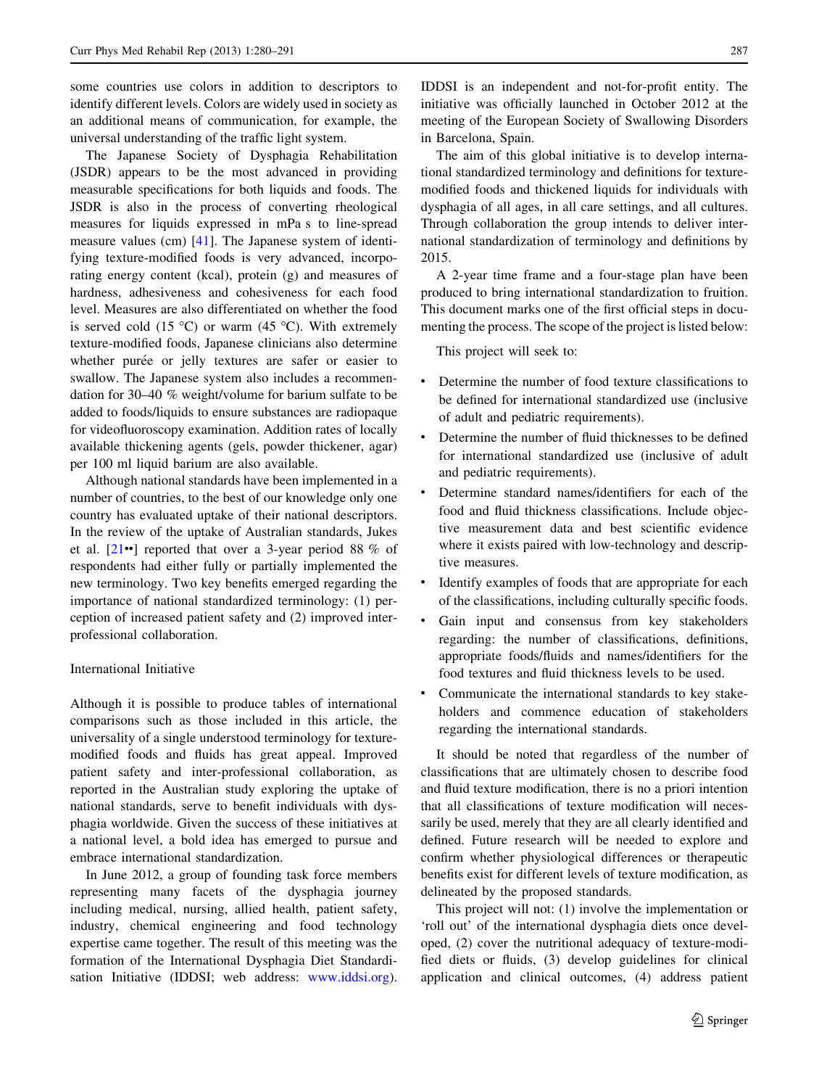some countries use colors in addition to descriptors to identify different levels. Colors are widely used in society as an additional means of communication, for example, the universal understanding of the traffic light system.

The Japanese Society of Dysphagia Rehabilitation (JSDR) appears to be the most advanced in providing measurable specifications for both liquids and foods. The JSDR is also in the process of converting rheological measures for liquids expressed in mPa s to line-spread measure values (cm) [[41\]](#page-10-0). The Japanese system of identifying texture-modified foods is very advanced, incorporating energy content (kcal), protein (g) and measures of hardness, adhesiveness and cohesiveness for each food level. Measures are also differentiated on whether the food is served cold (15  $\degree$ C) or warm (45  $\degree$ C). With extremely texture-modified foods, Japanese clinicians also determine whether purée or jelly textures are safer or easier to swallow. The Japanese system also includes a recommendation for 30–40 % weight/volume for barium sulfate to be added to foods/liquids to ensure substances are radiopaque for videofluoroscopy examination. Addition rates of locally available thickening agents (gels, powder thickener, agar) per 100 ml liquid barium are also available.

Although national standards have been implemented in a number of countries, to the best of our knowledge only one country has evaluated uptake of their national descriptors. In the review of the uptake of Australian standards, Jukes et al. [[21](#page-10-0)••] reported that over a 3-year period 88 % of respondents had either fully or partially implemented the new terminology. Two key benefits emerged regarding the importance of national standardized terminology: (1) perception of increased patient safety and (2) improved interprofessional collaboration.

#### International Initiative

Although it is possible to produce tables of international comparisons such as those included in this article, the universality of a single understood terminology for texturemodified foods and fluids has great appeal. Improved patient safety and inter-professional collaboration, as reported in the Australian study exploring the uptake of national standards, serve to benefit individuals with dysphagia worldwide. Given the success of these initiatives at a national level, a bold idea has emerged to pursue and embrace international standardization.

In June 2012, a group of founding task force members representing many facets of the dysphagia journey including medical, nursing, allied health, patient safety, industry, chemical engineering and food technology expertise came together. The result of this meeting was the formation of the International Dysphagia Diet Standardisation Initiative (IDDSI; web address: [www.iddsi.org](http://www.iddsi.org)).

IDDSI is an independent and not-for-profit entity. The initiative was officially launched in October 2012 at the meeting of the European Society of Swallowing Disorders in Barcelona, Spain.

The aim of this global initiative is to develop international standardized terminology and definitions for texturemodified foods and thickened liquids for individuals with dysphagia of all ages, in all care settings, and all cultures. Through collaboration the group intends to deliver international standardization of terminology and definitions by 2015.

A 2-year time frame and a four-stage plan have been produced to bring international standardization to fruition. This document marks one of the first official steps in documenting the process. The scope of the project is listed below:

This project will seek to:

- Determine the number of food texture classifications to be defined for international standardized use (inclusive of adult and pediatric requirements).
- Determine the number of fluid thicknesses to be defined for international standardized use (inclusive of adult and pediatric requirements).
- Determine standard names/identifiers for each of the food and fluid thickness classifications. Include objective measurement data and best scientific evidence where it exists paired with low-technology and descriptive measures.
- Identify examples of foods that are appropriate for each of the classifications, including culturally specific foods.
- Gain input and consensus from key stakeholders regarding: the number of classifications, definitions, appropriate foods/fluids and names/identifiers for the food textures and fluid thickness levels to be used.
- Communicate the international standards to key stakeholders and commence education of stakeholders regarding the international standards.

It should be noted that regardless of the number of classifications that are ultimately chosen to describe food and fluid texture modification, there is no a priori intention that all classifications of texture modification will necessarily be used, merely that they are all clearly identified and defined. Future research will be needed to explore and confirm whether physiological differences or therapeutic benefits exist for different levels of texture modification, as delineated by the proposed standards.

This project will not: (1) involve the implementation or 'roll out' of the international dysphagia diets once developed, (2) cover the nutritional adequacy of texture-modified diets or fluids, (3) develop guidelines for clinical application and clinical outcomes, (4) address patient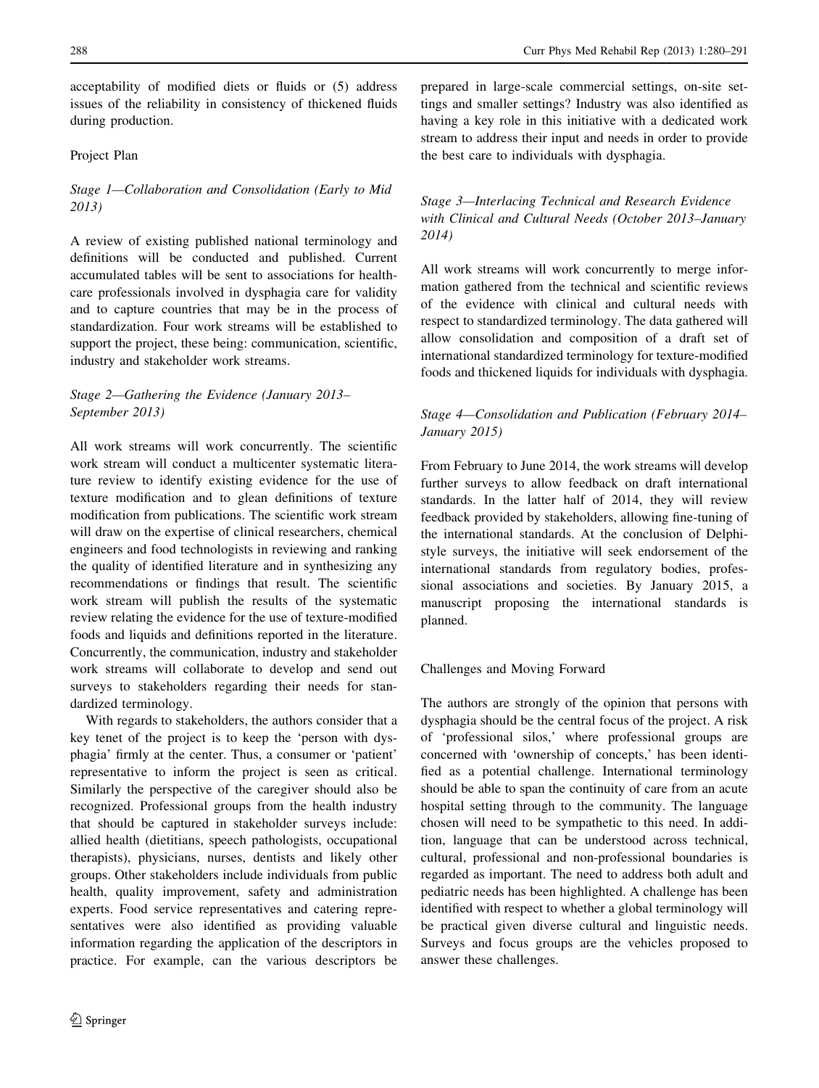acceptability of modified diets or fluids or (5) address issues of the reliability in consistency of thickened fluids during production.

#### Project Plan

Stage 1—Collaboration and Consolidation (Early to Mid 2013)

A review of existing published national terminology and definitions will be conducted and published. Current accumulated tables will be sent to associations for healthcare professionals involved in dysphagia care for validity and to capture countries that may be in the process of standardization. Four work streams will be established to support the project, these being: communication, scientific, industry and stakeholder work streams.

#### Stage 2—Gathering the Evidence (January 2013– September 2013)

All work streams will work concurrently. The scientific work stream will conduct a multicenter systematic literature review to identify existing evidence for the use of texture modification and to glean definitions of texture modification from publications. The scientific work stream will draw on the expertise of clinical researchers, chemical engineers and food technologists in reviewing and ranking the quality of identified literature and in synthesizing any recommendations or findings that result. The scientific work stream will publish the results of the systematic review relating the evidence for the use of texture-modified foods and liquids and definitions reported in the literature. Concurrently, the communication, industry and stakeholder work streams will collaborate to develop and send out surveys to stakeholders regarding their needs for standardized terminology.

With regards to stakeholders, the authors consider that a key tenet of the project is to keep the 'person with dysphagia' firmly at the center. Thus, a consumer or 'patient' representative to inform the project is seen as critical. Similarly the perspective of the caregiver should also be recognized. Professional groups from the health industry that should be captured in stakeholder surveys include: allied health (dietitians, speech pathologists, occupational therapists), physicians, nurses, dentists and likely other groups. Other stakeholders include individuals from public health, quality improvement, safety and administration experts. Food service representatives and catering representatives were also identified as providing valuable information regarding the application of the descriptors in practice. For example, can the various descriptors be prepared in large-scale commercial settings, on-site settings and smaller settings? Industry was also identified as having a key role in this initiative with a dedicated work stream to address their input and needs in order to provide the best care to individuals with dysphagia.

# Stage 3—Interlacing Technical and Research Evidence with Clinical and Cultural Needs (October 2013–January 2014)

All work streams will work concurrently to merge information gathered from the technical and scientific reviews of the evidence with clinical and cultural needs with respect to standardized terminology. The data gathered will allow consolidation and composition of a draft set of international standardized terminology for texture-modified foods and thickened liquids for individuals with dysphagia.

# Stage 4—Consolidation and Publication (February 2014– January 2015)

From February to June 2014, the work streams will develop further surveys to allow feedback on draft international standards. In the latter half of 2014, they will review feedback provided by stakeholders, allowing fine-tuning of the international standards. At the conclusion of Delphistyle surveys, the initiative will seek endorsement of the international standards from regulatory bodies, professional associations and societies. By January 2015, a manuscript proposing the international standards is planned.

#### Challenges and Moving Forward

The authors are strongly of the opinion that persons with dysphagia should be the central focus of the project. A risk of 'professional silos,' where professional groups are concerned with 'ownership of concepts,' has been identified as a potential challenge. International terminology should be able to span the continuity of care from an acute hospital setting through to the community. The language chosen will need to be sympathetic to this need. In addition, language that can be understood across technical, cultural, professional and non-professional boundaries is regarded as important. The need to address both adult and pediatric needs has been highlighted. A challenge has been identified with respect to whether a global terminology will be practical given diverse cultural and linguistic needs. Surveys and focus groups are the vehicles proposed to answer these challenges.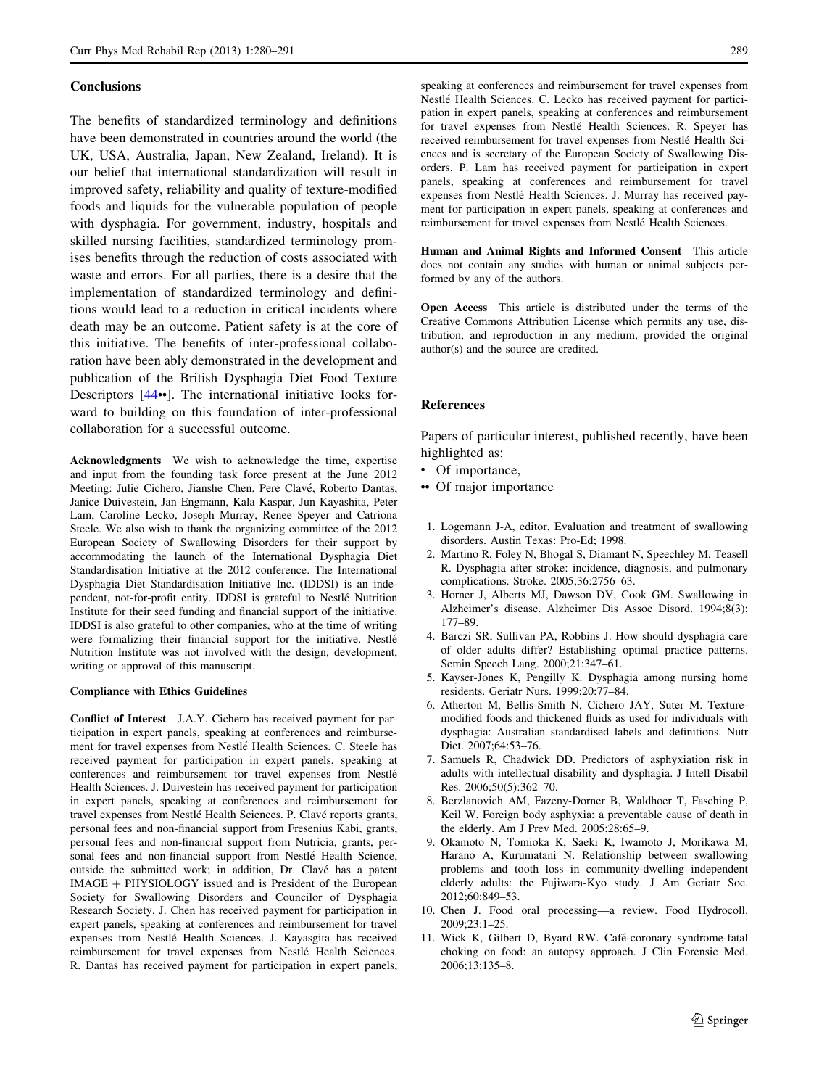#### <span id="page-9-0"></span>**Conclusions**

The benefits of standardized terminology and definitions have been demonstrated in countries around the world (the UK, USA, Australia, Japan, New Zealand, Ireland). It is our belief that international standardization will result in improved safety, reliability and quality of texture-modified foods and liquids for the vulnerable population of people with dysphagia. For government, industry, hospitals and skilled nursing facilities, standardized terminology promises benefits through the reduction of costs associated with waste and errors. For all parties, there is a desire that the implementation of standardized terminology and definitions would lead to a reduction in critical incidents where death may be an outcome. Patient safety is at the core of this initiative. The benefits of inter-professional collaboration have been ably demonstrated in the development and publication of the British Dysphagia Diet Food Texture Descriptors [\[44](#page-10-0)••]. The international initiative looks forward to building on this foundation of inter-professional collaboration for a successful outcome.

Acknowledgments We wish to acknowledge the time, expertise and input from the founding task force present at the June 2012 Meeting: Julie Cichero, Jianshe Chen, Pere Clavé, Roberto Dantas, Janice Duivestein, Jan Engmann, Kala Kaspar, Jun Kayashita, Peter Lam, Caroline Lecko, Joseph Murray, Renee Speyer and Catriona Steele. We also wish to thank the organizing committee of the 2012 European Society of Swallowing Disorders for their support by accommodating the launch of the International Dysphagia Diet Standardisation Initiative at the 2012 conference. The International Dysphagia Diet Standardisation Initiative Inc. (IDDSI) is an independent, not-for-profit entity. IDDSI is grateful to Nestle´ Nutrition Institute for their seed funding and financial support of the initiative. IDDSI is also grateful to other companies, who at the time of writing were formalizing their financial support for the initiative. Nestle´ Nutrition Institute was not involved with the design, development, writing or approval of this manuscript.

#### Compliance with Ethics Guidelines

Conflict of Interest J.A.Y. Cichero has received payment for participation in expert panels, speaking at conferences and reimbursement for travel expenses from Nestlé Health Sciences. C. Steele has received payment for participation in expert panels, speaking at conferences and reimbursement for travel expenses from Nestle´ Health Sciences. J. Duivestein has received payment for participation in expert panels, speaking at conferences and reimbursement for travel expenses from Nestlé Health Sciences. P. Clavé reports grants, personal fees and non-financial support from Fresenius Kabi, grants, personal fees and non-financial support from Nutricia, grants, personal fees and non-financial support from Nestlé Health Science, outside the submitted work; in addition, Dr. Clavé has a patent IMAGE + PHYSIOLOGY issued and is President of the European Society for Swallowing Disorders and Councilor of Dysphagia Research Society. J. Chen has received payment for participation in expert panels, speaking at conferences and reimbursement for travel expenses from Nestle´ Health Sciences. J. Kayasgita has received reimbursement for travel expenses from Nestlé Health Sciences. R. Dantas has received payment for participation in expert panels,

speaking at conferences and reimbursement for travel expenses from Nestlé Health Sciences. C. Lecko has received payment for participation in expert panels, speaking at conferences and reimbursement for travel expenses from Nestle´ Health Sciences. R. Speyer has received reimbursement for travel expenses from Nestlé Health Sciences and is secretary of the European Society of Swallowing Disorders. P. Lam has received payment for participation in expert panels, speaking at conferences and reimbursement for travel expenses from Nestlé Health Sciences. J. Murray has received payment for participation in expert panels, speaking at conferences and reimbursement for travel expenses from Nestle´ Health Sciences.

Human and Animal Rights and Informed Consent This article does not contain any studies with human or animal subjects performed by any of the authors.

Open Access This article is distributed under the terms of the Creative Commons Attribution License which permits any use, distribution, and reproduction in any medium, provided the original author(s) and the source are credited.

#### References

Papers of particular interest, published recently, have been highlighted as:

- Of importance,
- •• Of major importance
	- 1. Logemann J-A, editor. Evaluation and treatment of swallowing disorders. Austin Texas: Pro-Ed; 1998.
- 2. Martino R, Foley N, Bhogal S, Diamant N, Speechley M, Teasell R. Dysphagia after stroke: incidence, diagnosis, and pulmonary complications. Stroke. 2005;36:2756–63.
- 3. Horner J, Alberts MJ, Dawson DV, Cook GM. Swallowing in Alzheimer's disease. Alzheimer Dis Assoc Disord. 1994;8(3): 177–89.
- 4. Barczi SR, Sullivan PA, Robbins J. How should dysphagia care of older adults differ? Establishing optimal practice patterns. Semin Speech Lang. 2000;21:347–61.
- 5. Kayser-Jones K, Pengilly K. Dysphagia among nursing home residents. Geriatr Nurs. 1999;20:77–84.
- 6. Atherton M, Bellis-Smith N, Cichero JAY, Suter M. Texturemodified foods and thickened fluids as used for individuals with dysphagia: Australian standardised labels and definitions. Nutr Diet. 2007;64:53–76.
- 7. Samuels R, Chadwick DD. Predictors of asphyxiation risk in adults with intellectual disability and dysphagia. J Intell Disabil Res. 2006;50(5):362–70.
- 8. Berzlanovich AM, Fazeny-Dorner B, Waldhoer T, Fasching P, Keil W. Foreign body asphyxia: a preventable cause of death in the elderly. Am J Prev Med. 2005;28:65–9.
- 9. Okamoto N, Tomioka K, Saeki K, Iwamoto J, Morikawa M, Harano A, Kurumatani N. Relationship between swallowing problems and tooth loss in community-dwelling independent elderly adults: the Fujiwara-Kyo study. J Am Geriatr Soc. 2012;60:849–53.
- 10. Chen J. Food oral processing—a review. Food Hydrocoll. 2009;23:1–25.
- 11. Wick K, Gilbert D, Byard RW. Café-coronary syndrome-fatal choking on food: an autopsy approach. J Clin Forensic Med. 2006;13:135–8.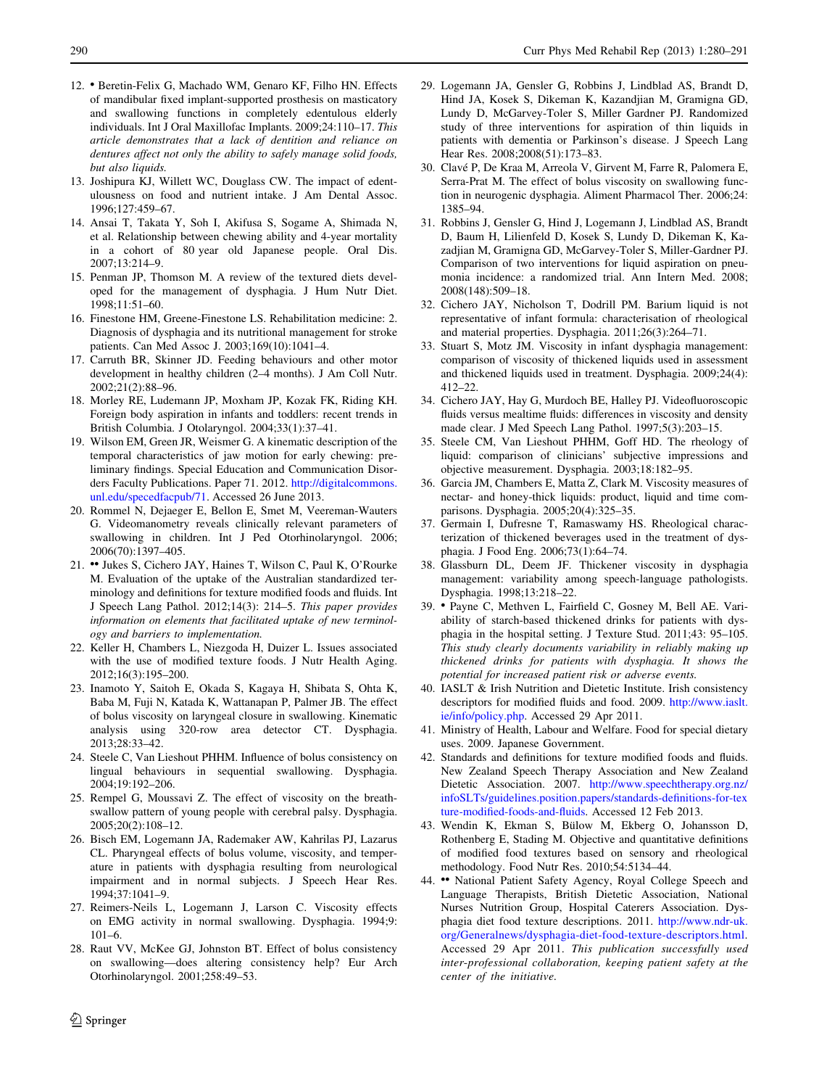- <span id="page-10-0"></span>12. • Beretin-Felix G, Machado WM, Genaro KF, Filho HN. Effects of mandibular fixed implant-supported prosthesis on masticatory and swallowing functions in completely edentulous elderly individuals. Int J Oral Maxillofac Implants. 2009;24:110–17. This article demonstrates that a lack of dentition and reliance on dentures affect not only the ability to safely manage solid foods, but also liquids.
- 13. Joshipura KJ, Willett WC, Douglass CW. The impact of edentulousness on food and nutrient intake. J Am Dental Assoc. 1996;127:459–67.
- 14. Ansai T, Takata Y, Soh I, Akifusa S, Sogame A, Shimada N, et al. Relationship between chewing ability and 4-year mortality in a cohort of 80 year old Japanese people. Oral Dis. 2007;13:214–9.
- 15. Penman JP, Thomson M. A review of the textured diets developed for the management of dysphagia. J Hum Nutr Diet. 1998;11:51–60.
- 16. Finestone HM, Greene-Finestone LS. Rehabilitation medicine: 2. Diagnosis of dysphagia and its nutritional management for stroke patients. Can Med Assoc J. 2003;169(10):1041–4.
- 17. Carruth BR, Skinner JD. Feeding behaviours and other motor development in healthy children (2–4 months). J Am Coll Nutr. 2002;21(2):88–96.
- 18. Morley RE, Ludemann JP, Moxham JP, Kozak FK, Riding KH. Foreign body aspiration in infants and toddlers: recent trends in British Columbia. J Otolaryngol. 2004;33(1):37–41.
- 19. Wilson EM, Green JR, Weismer G. A kinematic description of the temporal characteristics of jaw motion for early chewing: preliminary findings. Special Education and Communication Disorders Faculty Publications. Paper 71. 2012. [http://digitalcommons.](http://digitalcommons.unl.edu/specedfacpub/71) [unl.edu/specedfacpub/71](http://digitalcommons.unl.edu/specedfacpub/71). Accessed 26 June 2013.
- 20. Rommel N, Dejaeger E, Bellon E, Smet M, Veereman-Wauters G. Videomanometry reveals clinically relevant parameters of swallowing in children. Int J Ped Otorhinolaryngol. 2006; 2006(70):1397–405.
- 21. •• Jukes S, Cichero JAY, Haines T, Wilson C, Paul K, O'Rourke M. Evaluation of the uptake of the Australian standardized terminology and definitions for texture modified foods and fluids. Int J Speech Lang Pathol. 2012;14(3): 214–5. This paper provides information on elements that facilitated uptake of new terminology and barriers to implementation.
- 22. Keller H, Chambers L, Niezgoda H, Duizer L. Issues associated with the use of modified texture foods. J Nutr Health Aging. 2012;16(3):195–200.
- 23. Inamoto Y, Saitoh E, Okada S, Kagaya H, Shibata S, Ohta K, Baba M, Fuji N, Katada K, Wattanapan P, Palmer JB. The effect of bolus viscosity on laryngeal closure in swallowing. Kinematic analysis using 320-row area detector CT. Dysphagia. 2013;28:33–42.
- 24. Steele C, Van Lieshout PHHM. Influence of bolus consistency on lingual behaviours in sequential swallowing. Dysphagia. 2004;19:192–206.
- 25. Rempel G, Moussavi Z. The effect of viscosity on the breathswallow pattern of young people with cerebral palsy. Dysphagia. 2005;20(2):108–12.
- 26. Bisch EM, Logemann JA, Rademaker AW, Kahrilas PJ, Lazarus CL. Pharyngeal effects of bolus volume, viscosity, and temperature in patients with dysphagia resulting from neurological impairment and in normal subjects. J Speech Hear Res. 1994;37:1041–9.
- 27. Reimers-Neils L, Logemann J, Larson C. Viscosity effects on EMG activity in normal swallowing. Dysphagia. 1994;9: 101–6.
- 28. Raut VV, McKee GJ, Johnston BT. Effect of bolus consistency on swallowing—does altering consistency help? Eur Arch Otorhinolaryngol. 2001;258:49–53.
- 29. Logemann JA, Gensler G, Robbins J, Lindblad AS, Brandt D, Hind JA, Kosek S, Dikeman K, Kazandjian M, Gramigna GD, Lundy D, McGarvey-Toler S, Miller Gardner PJ. Randomized study of three interventions for aspiration of thin liquids in patients with dementia or Parkinson's disease. J Speech Lang Hear Res. 2008;2008(51):173–83.
- 30. Clavé P, De Kraa M, Arreola V, Girvent M, Farre R, Palomera E, Serra-Prat M. The effect of bolus viscosity on swallowing function in neurogenic dysphagia. Aliment Pharmacol Ther. 2006;24: 1385–94.
- 31. Robbins J, Gensler G, Hind J, Logemann J, Lindblad AS, Brandt D, Baum H, Lilienfeld D, Kosek S, Lundy D, Dikeman K, Kazadjian M, Gramigna GD, McGarvey-Toler S, Miller-Gardner PJ. Comparison of two interventions for liquid aspiration on pneumonia incidence: a randomized trial. Ann Intern Med. 2008; 2008(148):509–18.
- 32. Cichero JAY, Nicholson T, Dodrill PM. Barium liquid is not representative of infant formula: characterisation of rheological and material properties. Dysphagia. 2011;26(3):264–71.
- 33. Stuart S, Motz JM. Viscosity in infant dysphagia management: comparison of viscosity of thickened liquids used in assessment and thickened liquids used in treatment. Dysphagia. 2009;24(4): 412–22.
- 34. Cichero JAY, Hay G, Murdoch BE, Halley PJ. Videofluoroscopic fluids versus mealtime fluids: differences in viscosity and density made clear. J Med Speech Lang Pathol. 1997;5(3):203–15.
- 35. Steele CM, Van Lieshout PHHM, Goff HD. The rheology of liquid: comparison of clinicians' subjective impressions and objective measurement. Dysphagia. 2003;18:182–95.
- 36. Garcia JM, Chambers E, Matta Z, Clark M. Viscosity measures of nectar- and honey-thick liquids: product, liquid and time comparisons. Dysphagia. 2005;20(4):325–35.
- 37. Germain I, Dufresne T, Ramaswamy HS. Rheological characterization of thickened beverages used in the treatment of dysphagia. J Food Eng. 2006;73(1):64–74.
- 38. Glassburn DL, Deem JF. Thickener viscosity in dysphagia management: variability among speech-language pathologists. Dysphagia. 1998;13:218–22.
- 39. Payne C, Methven L, Fairfield C, Gosney M, Bell AE. Variability of starch-based thickened drinks for patients with dysphagia in the hospital setting. J Texture Stud. 2011;43: 95–105. This study clearly documents variability in reliably making up thickened drinks for patients with dysphagia. It shows the potential for increased patient risk or adverse events.
- 40. IASLT & Irish Nutrition and Dietetic Institute. Irish consistency descriptors for modified fluids and food. 2009. [http://www.iaslt.](http://www.iaslt.ie/info/policy.php) [ie/info/policy.php](http://www.iaslt.ie/info/policy.php). Accessed 29 Apr 2011.
- 41. Ministry of Health, Labour and Welfare. Food for special dietary uses. 2009. Japanese Government.
- 42. Standards and definitions for texture modified foods and fluids. New Zealand Speech Therapy Association and New Zealand Dietetic Association. 2007. [http://www.speechtherapy.org.nz/](http://www.speechtherapy.org.nz/infoSLTs/guidelines.position.papers/standards-definitions-for-texture-modified-foods-and-fluids) [infoSLTs/guidelines.position.papers/standards-definitions-for-tex](http://www.speechtherapy.org.nz/infoSLTs/guidelines.position.papers/standards-definitions-for-texture-modified-foods-and-fluids) [ture-modified-foods-and-fluids.](http://www.speechtherapy.org.nz/infoSLTs/guidelines.position.papers/standards-definitions-for-texture-modified-foods-and-fluids) Accessed 12 Feb 2013.
- 43. Wendin K, Ekman S, Bülow M, Ekberg O, Johansson D, Rothenberg E, Stading M. Objective and quantitative definitions of modified food textures based on sensory and rheological methodology. Food Nutr Res. 2010;54:5134–44.
- 44. •• National Patient Safety Agency, Royal College Speech and Language Therapists, British Dietetic Association, National Nurses Nutrition Group, Hospital Caterers Association. Dysphagia diet food texture descriptions. 2011. [http://www.ndr-uk.](http://www.ndr-uk.org/Generalnews/dysphagia-diet-food-texture-descriptors.html) [org/Generalnews/dysphagia-diet-food-texture-descriptors.html.](http://www.ndr-uk.org/Generalnews/dysphagia-diet-food-texture-descriptors.html) Accessed 29 Apr 2011. This publication successfully used inter-professional collaboration, keeping patient safety at the center of the initiative.